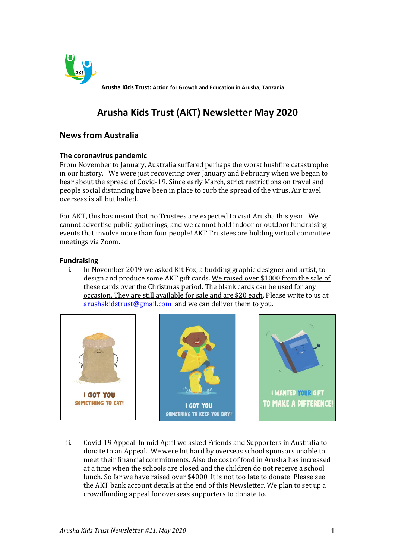

**Arusha Kids Trust: Action for Growth and Education in Arusha, Tanzania**

# **Arusha Kids Trust (AKT) Newsletter May 2020**

# **News from Australia**

# **The coronavirus pandemic**

From November to January, Australia suffered perhaps the worst bushfire catastrophe in our history. We were just recovering over January and February when we began to hear about the spread of Covid-19. Since early March, strict restrictions on travel and people social distancing have been in place to curb the spread of the virus. Air travel overseas is all but halted.

For AKT, this has meant that no Trustees are expected to visit Arusha this year. We cannot advertise public gatherings, and we cannot hold indoor or outdoor fundraising events that involve more than four people! AKT Trustees are holding virtual committee meetings via Zoom.

# **Fundraising**

i. In November 2019 we asked Kit Fox, a budding graphic designer and artist, to design and produce some AKT gift cards. We raised over \$1000 from the sale of these cards over the Christmas period. The blank cards can be used for any occasion. They are still available for sale and are \$20 each. Please write to us at [arushakidstrust@gmail.com](mailto:arushakidstrust@gmail.com) and we can deliver them to you.



ii. Covid-19 Appeal. In mid April we asked Friends and Supporters in Australia to donate to an Appeal. We were hit hard by overseas school sponsors unable to meet their financial commitments. Also the cost of food in Arusha has increased at a time when the schools are closed and the children do not receive a school lunch. So far we have raised over \$4000. It is not too late to donate. Please see the AKT bank account details at the end of this Newsletter. We plan to set up a crowdfunding appeal for overseas supporters to donate to.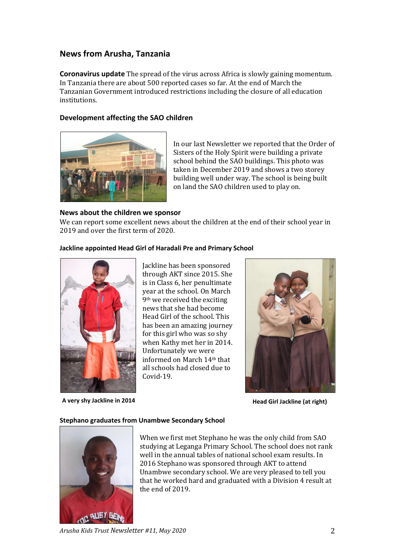# **News from Arusha, Tanzania**

**Coronavirus update** The spread of the virus across Africa is slowly gaining momentum. In Tanzania there are about 500 reported cases so far. At the end of March the Tanzanian Government introduced restrictions including the closure of all education institutions.

# **Development affecting the SAO children**



In our last Newsletter we reported that the Order of Sisters of the Holy Spirit were building a private school behind the SAO buildings. This photo was taken in December 2019 and shows a two storey building well under way. The school is being built on land the SAO children used to play on.

# **News about the children we sponsor**

We can report some excellent news about the children at the end of their school year in 2019 and over the first term of 2020.

# **Jackline appointed Head Girl of Haradali Pre and Primary School**



**A very shy Jackline in 2014 Head Girl Jackline (at right)**

Jackline has been sponsored through AKT since 2015. She is in Class 6, her penultimate year at the school. On March 9th we received the exciting news that she had become Head Girl of the school. This has been an amazing journey for this girl who was so shy when Kathy met her in 2014. Unfortunately we were informed on March 14th that all schools had closed due to Covid-19.



#### **Stephano graduates from Unambwe Secondary School**



When we first met Stephano he was the only child from SAO studying at Leganga Primary School. The school does not rank well in the annual tables of national school exam results. In 2016 Stephano was sponsored through AKT to attend Unambwe secondary school. We are very pleased to tell you that he worked hard and graduated with a Division 4 result at the end of 2019.

*Arusha Kids Trust Newsletter #11, May 2020* 2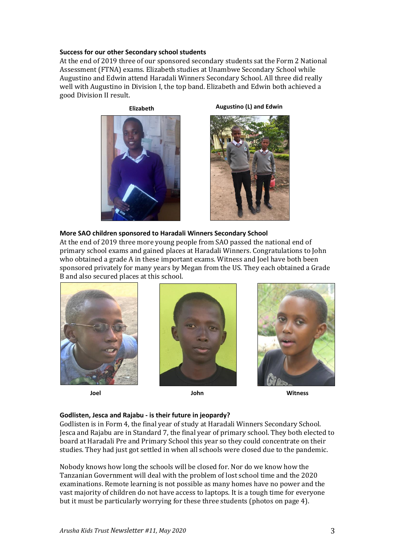#### **Success for our other Secondary school students**

At the end of 2019 three of our sponsored secondary students sat the Form 2 National Assessment (FTNA) exams. Elizabeth studies at Unambwe Secondary School while Augustino and Edwin attend Haradali Winners Secondary School. All three did really well with Augustino in Division I, the top band. Elizabeth and Edwin both achieved a good Division II result.



**Elizabeth Augustino (L) and Edwin**



# **More SAO children sponsored to Haradali Winners Secondary School**

At the end of 2019 three more young people from SAO passed the national end of primary school exams and gained places at Haradali Winners. Congratulations to John who obtained a grade A in these important exams. Witness and Joel have both been sponsored privately for many years by Megan from the US. They each obtained a Grade B and also secured places at this school.







**Joel John Witness**

#### **Godlisten, Jesca and Rajabu - is their future in jeopardy?**

Godlisten is in Form 4, the final year of study at Haradali Winners Secondary School. Jesca and Rajabu are in Standard 7, the final year of primary school. They both elected to board at Haradali Pre and Primary School this year so they could concentrate on their studies. They had just got settled in when all schools were closed due to the pandemic.

Nobody knows how long the schools will be closed for. Nor do we know how the Tanzanian Government will deal with the problem of lost school time and the 2020 examinations. Remote learning is not possible as many homes have no power and the vast majority of children do not have access to laptops. It is a tough time for everyone but it must be particularly worrying for these three students (photos on page 4).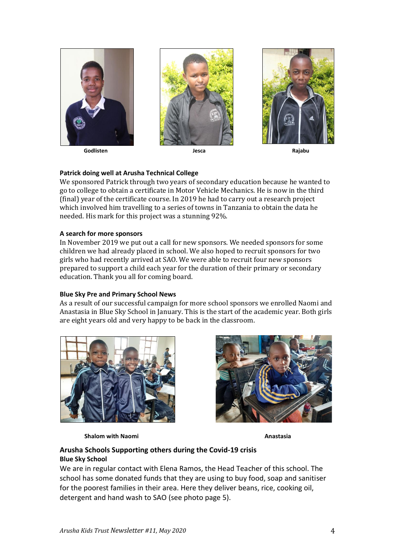

 **Godlisten Jesca Rajabu**





# **Patrick doing well at Arusha Technical College**

We sponsored Patrick through two years of secondary education because he wanted to go to college to obtain a certificate in Motor Vehicle Mechanics. He is now in the third (final) year of the certificate course. In 2019 he had to carry out a research project which involved him travelling to a series of towns in Tanzania to obtain the data he needed. His mark for this project was a stunning 92%.

#### **A search for more sponsors**

In November 2019 we put out a call for new sponsors. We needed sponsors for some children we had already placed in school. We also hoped to recruit sponsors for two girls who had recently arrived at SAO. We were able to recruit four new sponsors prepared to support a child each year for the duration of their primary or secondary education. Thank you all for coming board.

#### **Blue Sky Pre and Primary School News**

As a result of our successful campaign for more school sponsors we enrolled Naomi and Anastasia in Blue Sky School in January. This is the start of the academic year. Both girls are eight years old and very happy to be back in the classroom.



**Shalom with Naomi Anastasia** 



# **Arusha Schools Supporting others during the Covid-19 crisis Blue Sky School**

We are in regular contact with Elena Ramos, the Head Teacher of this school. The school has some donated funds that they are using to buy food, soap and sanitiser for the poorest families in their area. Here they deliver beans, rice, cooking oil, detergent and hand wash to SAO (see photo page 5).